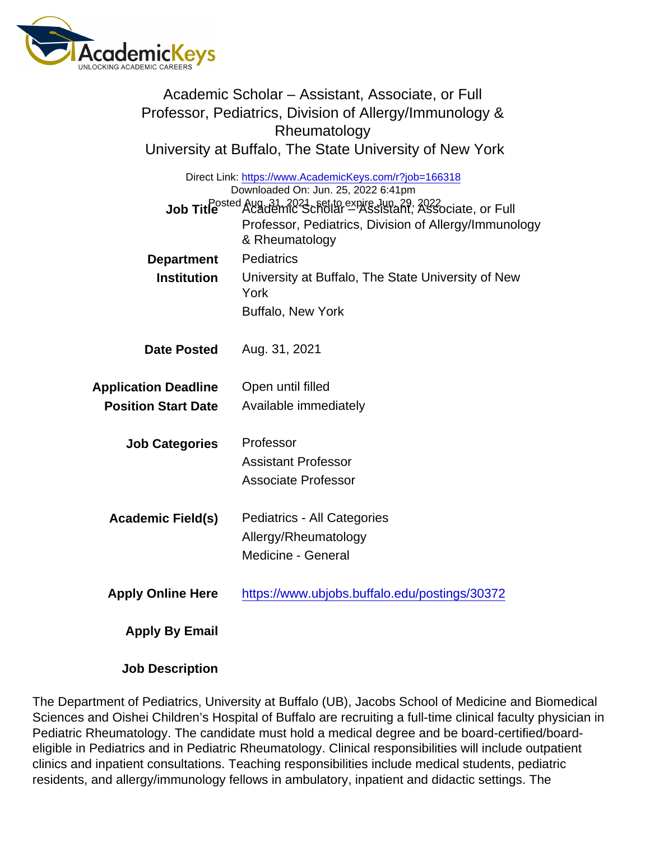| Academic Scholar – Assistant, Associate, or Full<br>Professor, Pediatrics, Division of Allergy/Immunology &<br>Rheumatology<br>University at Buffalo, The State University of New York |                                                                                                                                                                                                                                                                                                                                    |
|----------------------------------------------------------------------------------------------------------------------------------------------------------------------------------------|------------------------------------------------------------------------------------------------------------------------------------------------------------------------------------------------------------------------------------------------------------------------------------------------------------------------------------|
|                                                                                                                                                                                        | Direct Link: https://www.AcademicKeys.com/r?job=166318<br>Downloaded On: Jun. 25, 2022 6:41pm<br>Job Title <sup>Posted</sup> Aug. 31, 2021, set to expire Jun. 29, 2022<br>Job Title <sup>Posted</sup> Academic Scholar - Assistant, Associate, or Full<br>Professor, Pediatrics, Division of Allergy/Immunology<br>& Rheumatology |
| Department<br>Institution                                                                                                                                                              | <b>Pediatrics</b><br>University at Buffalo, The State University of New<br>York<br><b>Buffalo, New York</b>                                                                                                                                                                                                                        |
| Date Posted                                                                                                                                                                            | Aug. 31, 2021                                                                                                                                                                                                                                                                                                                      |
| <b>Application Deadline</b><br><b>Position Start Date</b>                                                                                                                              | Open until filled<br>Available immediately                                                                                                                                                                                                                                                                                         |
| <b>Job Categories</b>                                                                                                                                                                  | Professor<br><b>Assistant Professor</b><br><b>Associate Professor</b>                                                                                                                                                                                                                                                              |
| Academic Field(s)                                                                                                                                                                      | Pediatrics - All Categories<br>Allergy/Rheumatology<br>Medicine - General                                                                                                                                                                                                                                                          |
| <b>Apply Online Here</b>                                                                                                                                                               | https://www.ubjobs.buffalo.edu/postings/30372                                                                                                                                                                                                                                                                                      |
| Apply By Email                                                                                                                                                                         |                                                                                                                                                                                                                                                                                                                                    |

Job Description

The Department of Pediatrics, University at Buffalo (UB), Jacobs School of Medicine and Biomedical Sciences and Oishei Children's Hospital of Buffalo are recruiting a full-time clinical faculty physician in Pediatric Rheumatology. The candidate must hold a medical degree and be board-certified/boardeligible in Pediatrics and in Pediatric Rheumatology. Clinical responsibilities will include outpatient clinics and inpatient consultations. Teaching responsibilities include medical students, pediatric residents, and allergy/immunology fellows in ambulatory, inpatient and didactic settings. The